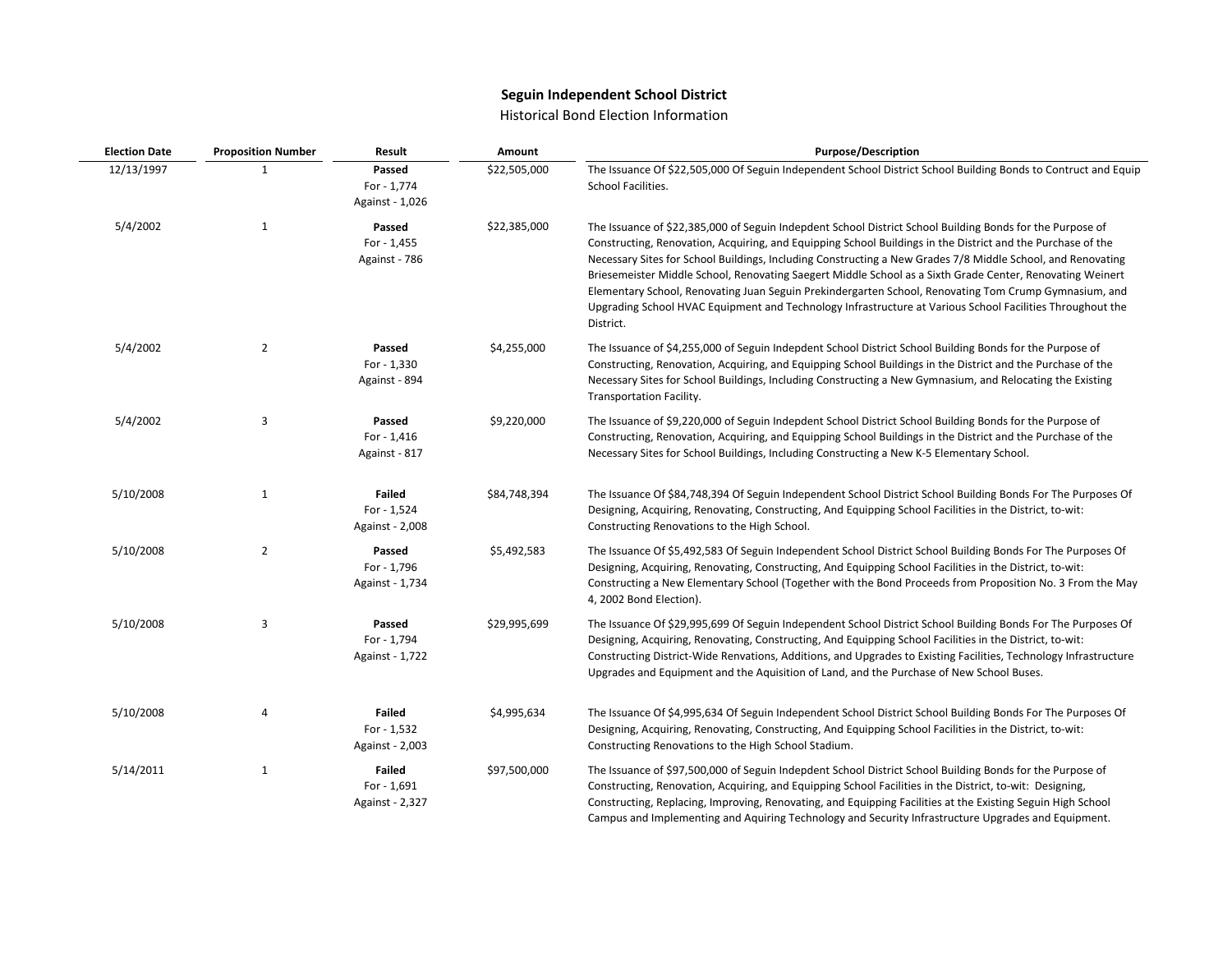## **Seguin Independent School District**

## Historical Bond Election Information

| <b>Election Date</b> | <b>Proposition Number</b> | Result                                          | Amount       | <b>Purpose/Description</b>                                                                                                                                                                                                                                                                                                                                                                                                                                                                                                                                                                                                                                                              |
|----------------------|---------------------------|-------------------------------------------------|--------------|-----------------------------------------------------------------------------------------------------------------------------------------------------------------------------------------------------------------------------------------------------------------------------------------------------------------------------------------------------------------------------------------------------------------------------------------------------------------------------------------------------------------------------------------------------------------------------------------------------------------------------------------------------------------------------------------|
| 12/13/1997           | 1                         | Passed<br>For - 1,774<br>Against - 1,026        | \$22,505,000 | The Issuance Of \$22,505,000 Of Seguin Independent School District School Building Bonds to Contruct and Equip<br>School Facilities.                                                                                                                                                                                                                                                                                                                                                                                                                                                                                                                                                    |
| 5/4/2002             | $\mathbf{1}$              | Passed<br>For - 1,455<br>Against - 786          | \$22,385,000 | The Issuance of \$22,385,000 of Seguin Indepdent School District School Building Bonds for the Purpose of<br>Constructing, Renovation, Acquiring, and Equipping School Buildings in the District and the Purchase of the<br>Necessary Sites for School Buildings, Including Constructing a New Grades 7/8 Middle School, and Renovating<br>Briesemeister Middle School, Renovating Saegert Middle School as a Sixth Grade Center, Renovating Weinert<br>Elementary School, Renovating Juan Seguin Prekindergarten School, Renovating Tom Crump Gymnasium, and<br>Upgrading School HVAC Equipment and Technology Infrastructure at Various School Facilities Throughout the<br>District. |
| 5/4/2002             | $\overline{2}$            | Passed<br>For - 1,330<br>Against - 894          | \$4,255,000  | The Issuance of \$4,255,000 of Seguin Indepdent School District School Building Bonds for the Purpose of<br>Constructing, Renovation, Acquiring, and Equipping School Buildings in the District and the Purchase of the<br>Necessary Sites for School Buildings, Including Constructing a New Gymnasium, and Relocating the Existing<br>Transportation Facility.                                                                                                                                                                                                                                                                                                                        |
| 5/4/2002             | 3                         | Passed<br>For - 1,416<br>Against - 817          | \$9,220,000  | The Issuance of \$9,220,000 of Seguin Indepdent School District School Building Bonds for the Purpose of<br>Constructing, Renovation, Acquiring, and Equipping School Buildings in the District and the Purchase of the<br>Necessary Sites for School Buildings, Including Constructing a New K-5 Elementary School.                                                                                                                                                                                                                                                                                                                                                                    |
| 5/10/2008            | $\mathbf{1}$              | <b>Failed</b><br>For - 1,524<br>Against - 2,008 | \$84,748,394 | The Issuance Of \$84,748,394 Of Seguin Independent School District School Building Bonds For The Purposes Of<br>Designing, Acquiring, Renovating, Constructing, And Equipping School Facilities in the District, to-wit:<br>Constructing Renovations to the High School.                                                                                                                                                                                                                                                                                                                                                                                                                |
| 5/10/2008            | $\overline{2}$            | Passed<br>For - 1,796<br>Against - 1,734        | \$5,492,583  | The Issuance Of \$5,492,583 Of Seguin Independent School District School Building Bonds For The Purposes Of<br>Designing, Acquiring, Renovating, Constructing, And Equipping School Facilities in the District, to-wit:<br>Constructing a New Elementary School (Together with the Bond Proceeds from Proposition No. 3 From the May<br>4, 2002 Bond Election).                                                                                                                                                                                                                                                                                                                         |
| 5/10/2008            | 3                         | Passed<br>For - 1,794<br>Against - 1,722        | \$29,995,699 | The Issuance Of \$29,995,699 Of Seguin Independent School District School Building Bonds For The Purposes Of<br>Designing, Acquiring, Renovating, Constructing, And Equipping School Facilities in the District, to-wit:<br>Constructing District-Wide Renvations, Additions, and Upgrades to Existing Facilities, Technology Infrastructure<br>Upgrades and Equipment and the Aquisition of Land, and the Purchase of New School Buses.                                                                                                                                                                                                                                                |
| 5/10/2008            | 4                         | <b>Failed</b><br>For - 1,532<br>Against - 2,003 | \$4,995,634  | The Issuance Of \$4,995,634 Of Seguin Independent School District School Building Bonds For The Purposes Of<br>Designing, Acquiring, Renovating, Constructing, And Equipping School Facilities in the District, to-wit:<br>Constructing Renovations to the High School Stadium.                                                                                                                                                                                                                                                                                                                                                                                                         |
| 5/14/2011            | $\mathbf{1}$              | <b>Failed</b><br>For - 1,691<br>Against - 2,327 | \$97,500,000 | The Issuance of \$97,500,000 of Seguin Indepdent School District School Building Bonds for the Purpose of<br>Constructing, Renovation, Acquiring, and Equipping School Facilities in the District, to-wit: Designing,<br>Constructing, Replacing, Improving, Renovating, and Equipping Facilities at the Existing Seguin High School<br>Campus and Implementing and Aquiring Technology and Security Infrastructure Upgrades and Equipment.                                                                                                                                                                                                                                             |